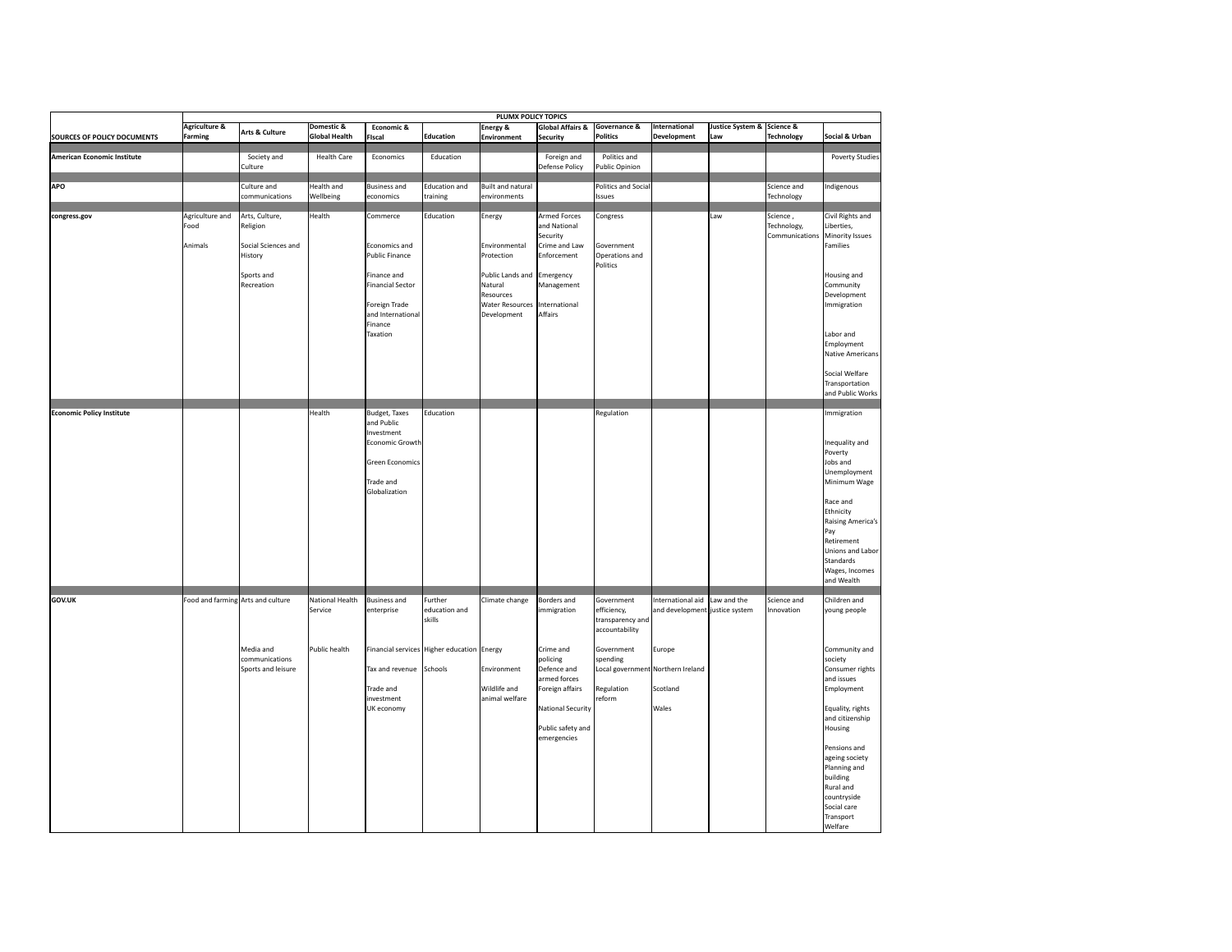|                                    | PLUMX POLICY TOPICS                 |                                                                                          |                                             |                                                                                                                                             |                                                                                      |                                                                                                                            |                                                                                                                                                                |                                                                                                                 |                                                                                                                        |                                   |                                           |                                                                                                                                                                                                                                                                                            |
|------------------------------------|-------------------------------------|------------------------------------------------------------------------------------------|---------------------------------------------|---------------------------------------------------------------------------------------------------------------------------------------------|--------------------------------------------------------------------------------------|----------------------------------------------------------------------------------------------------------------------------|----------------------------------------------------------------------------------------------------------------------------------------------------------------|-----------------------------------------------------------------------------------------------------------------|------------------------------------------------------------------------------------------------------------------------|-----------------------------------|-------------------------------------------|--------------------------------------------------------------------------------------------------------------------------------------------------------------------------------------------------------------------------------------------------------------------------------------------|
| SOURCES OF POLICY DOCUMENTS        | <b>Agriculture &amp;</b><br>Farming | Arts & Culture                                                                           | Domestic &<br><b>Global Health</b>          | Economic &<br>Fiscal                                                                                                                        | <b>Education</b>                                                                     | Energy &<br>Environment                                                                                                    | <b>Global Affairs &amp;</b><br>Security                                                                                                                        | Governance &<br>olitics                                                                                         | International<br>Development                                                                                           | Justice System & Science &<br>Law | Technology                                | Social & Urban                                                                                                                                                                                                                                                                             |
| <b>American Economic Institute</b> |                                     | Society and<br>Culture                                                                   | <b>Health Care</b>                          | Economics                                                                                                                                   | Education                                                                            |                                                                                                                            | Foreign and<br>Defense Policy                                                                                                                                  | Politics and<br>ublic Opinion                                                                                   |                                                                                                                        |                                   |                                           | <b>Poverty Studies</b>                                                                                                                                                                                                                                                                     |
| <b>APO</b>                         |                                     | Culture and<br>communications                                                            | <b>Health and</b><br>Wellbeing              | <b>Business and</b><br>economics                                                                                                            | <b>Education and</b><br>training                                                     | <b>Built and natural</b><br>environments                                                                                   |                                                                                                                                                                | Politics and Socia<br>ssues                                                                                     |                                                                                                                        |                                   | Science and<br>Technology                 | ndigenous                                                                                                                                                                                                                                                                                  |
| congress.gov                       | Agriculture and<br>Food<br>Animals  | Arts, Culture,<br>Religion<br>Social Sciences and<br>History<br>Sports and<br>Recreation | Health                                      | Commerce<br>Economics and<br>Public Finance<br>Finance and<br>Financial Sector<br>Foreign Trade<br>and International<br>Finance<br>Taxation | Education                                                                            | Energy<br>Environmental<br>Protection<br>Public Lands and<br>Natural<br>Resources<br><b>Water Resources</b><br>Development | <b>Armed Forces</b><br>and National<br>Security<br>Crime and Law<br>Enforcement<br>Emergency<br>Management<br>International<br>Affairs                         | Congress<br>Government<br>Operations and<br>Politics                                                            |                                                                                                                        | Law                               | Science,<br>Technology,<br>Communications | Civil Rights and<br>Liberties,<br>Minority Issues<br>Families<br>Housing and<br>Community<br>Development<br>Immigration<br>Labor and<br>Employment<br><b>Native Americans</b><br>Social Welfare<br>Transportation<br>and Public Works                                                      |
| <b>Economic Policy Institute</b>   |                                     |                                                                                          | Health                                      | <b>Budget, Taxes</b><br>and Public<br>Investment<br>Economic Growth<br>Green Economics<br>Trade and<br>Globalization                        | Education                                                                            |                                                                                                                            |                                                                                                                                                                | Regulation                                                                                                      |                                                                                                                        |                                   |                                           | Immigration<br>Inequality and<br>Poverty<br>Jobs and<br>Unemployment<br>Minimum Wage<br>Race and<br>Ethnicity<br><b>Raising America's</b><br>Pay<br>Retirement<br>Unions and Labor<br>Standards<br>Wages, Incomes<br>and Wealth                                                            |
| <b>GOV.UK</b>                      |                                     | Food and farming Arts and culture<br>Media and<br>communications<br>Sports and leisure   | National Health<br>Service<br>Public health | <b>Business and</b><br>enterprise<br>Tax and revenue<br>Trade and<br>investment<br>UK economy                                               | Further<br>education and<br>skills<br>Financial services Higher education<br>Schools | Climate change<br>Energy<br>Environment<br>Wildlife and<br>animal welfare                                                  | Borders and<br>immigration<br>Crime and<br>policing<br>Defence and<br>armed forces<br>Foreign affairs<br>National Security<br>Public safety and<br>emergencies | Government<br>efficiency,<br>transparency and<br>accountability<br>Government<br>pending<br>Regulation<br>eform | International aid<br>and development justice system<br>Europe<br>ocal government Northern Ireland<br>Scotland<br>Wales | Law and the                       | Science and<br>Innovation                 | Children and<br>young people<br>Community and<br>society<br>Consumer rights<br>and issues<br>Employment<br>Equality, rights<br>and citizenship<br>Housing<br>Pensions and<br>ageing society<br>Planning and<br>building<br>Rural and<br>countryside<br>Social care<br>Transport<br>Welfare |